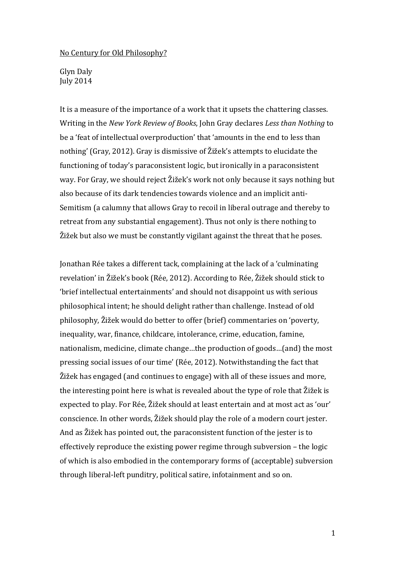## No Century for Old Philosophy?

Glyn Daly July 2014

It is a measure of the importance of a work that it upsets the chattering classes. Writing in the *New York Review of Books*, John Gray declares *Less than Nothing* to be a 'feat of intellectual overproduction' that 'amounts in the end to less than nothing' (Gray, 2012). Gray is dismissive of Žižek's attempts to elucidate the functioning of today's paraconsistent logic, but ironically in a paraconsistent way. For Gray, we should reject Žižek's work not only because it says nothing but also because of its dark tendencies towards violence and an implicit anti-Semitism (a calumny that allows Gray to recoil in liberal outrage and thereby to retreat from any substantial engagement). Thus not only is there nothing to Žižek but also we must be constantly vigilant against the threat that he poses.

Jonathan Rée takes a different tack, complaining at the lack of a 'culminating revelation' in Žižek's book (Rée, 2012). According to Rée, Žižek should stick to 'brief intellectual entertainments' and should not disappoint us with serious philosophical intent; he should delight rather than challenge. Instead of old philosophy, Žižek would do better to offer (brief) commentaries on 'poverty, inequality, war, finance, childcare, intolerance, crime, education, famine, nationalism, medicine, climate change…the production of goods…(and) the most pressing social issues of our time' (Rée, 2012). Notwithstanding the fact that Žižek has engaged (and continues to engage) with all of these issues and more, the interesting point here is what is revealed about the type of role that Žižek is expected to play. For Rée, Žižek should at least entertain and at most act as 'our' conscience. In other words, Žižek should play the role of a modern court jester. And as Žižek has pointed out, the paraconsistent function of the jester is to effectively reproduce the existing power regime through subversion – the logic of which is also embodied in the contemporary forms of (acceptable) subversion through liberal-left punditry, political satire, infotainment and so on.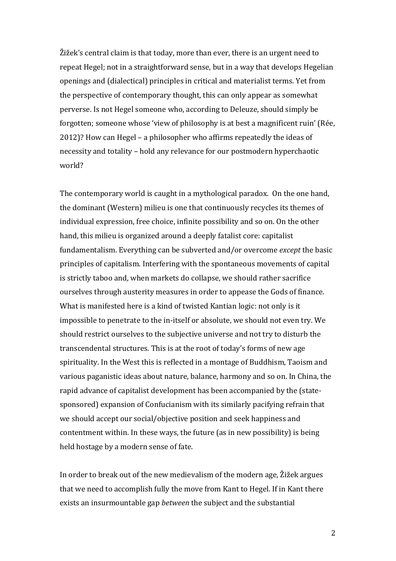Žižek's central claim is that today, more than ever, there is an urgent need to repeat Hegel; not in a straightforward sense, but in a way that develops Hegelian openings and (dialectical) principles in critical and materialist terms. Yet from the perspective of contemporary thought, this can only appear as somewhat perverse. Is not Hegel someone who, according to Deleuze, should simply be forgotten; someone whose 'view of philosophy is at best a magnificent ruin' (Rée, 2012)? How can Hegel – a philosopher who affirms repeatedly the ideas of necessity and totality – hold any relevance for our postmodern hyperchaotic world?

The contemporary world is caught in a mythological paradox. On the one hand, the dominant (Western) milieu is one that continuously recycles its themes of individual expression, free choice, infinite possibility and so on. On the other hand, this milieu is organized around a deeply fatalist core: capitalist fundamentalism. Everything can be subverted and/or overcome *except* the basic principles of capitalism. Interfering with the spontaneous movements of capital is strictly taboo and, when markets do collapse, we should rather sacrifice ourselves through austerity measures in order to appease the Gods of finance. What is manifested here is a kind of twisted Kantian logic: not only is it impossible to penetrate to the in-itself or absolute, we should not even try. We should restrict ourselves to the subjective universe and not try to disturb the transcendental structures. This is at the root of today's forms of new age spirituality. In the West this is reflected in a montage of Buddhism, Taoism and various paganistic ideas about nature, balance, harmony and so on. In China, the rapid advance of capitalist development has been accompanied by the (statesponsored) expansion of Confucianism with its similarly pacifying refrain that we should accept our social/objective position and seek happiness and contentment within. In these ways, the future (as in new possibility) is being held hostage by a modern sense of fate.

In order to break out of the new medievalism of the modern age, Žižek argues that we need to accomplish fully the move from Kant to Hegel. If in Kant there exists an insurmountable gap *between* the subject and the substantial

2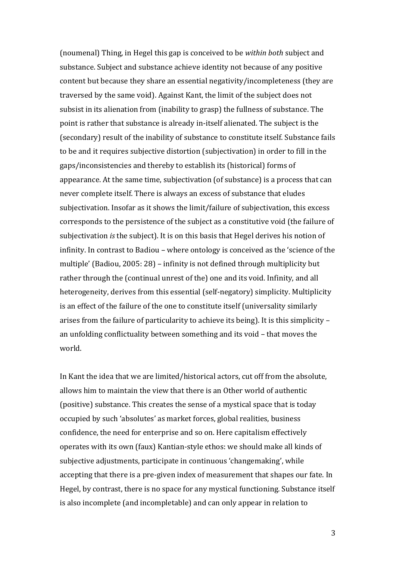(noumenal) Thing, in Hegel this gap is conceived to be *within both* subject and substance. Subject and substance achieve identity not because of any positive content but because they share an essential negativity/incompleteness (they are traversed by the same void). Against Kant, the limit of the subject does not subsist in its alienation from (inability to grasp) the fullness of substance. The point is rather that substance is already in-itself alienated. The subject is the (secondary) result of the inability of substance to constitute itself. Substance fails to be and it requires subjective distortion (subjectivation) in order to fill in the gaps/inconsistencies and thereby to establish its (historical) forms of appearance. At the same time, subjectivation (of substance) is a process that can never complete itself. There is always an excess of substance that eludes subjectivation. Insofar as it shows the limit/failure of subjectivation, this excess corresponds to the persistence of the subject as a constitutive void (the failure of subjectivation *is* the subject). It is on this basis that Hegel derives his notion of infinity. In contrast to Badiou – where ontology is conceived as the 'science of the multiple' (Badiou, 2005: 28) – infinity is not defined through multiplicity but rather through the (continual unrest of the) one and its void. Infinity, and all heterogeneity, derives from this essential (self-negatory) simplicity. Multiplicity is an effect of the failure of the one to constitute itself (universality similarly arises from the failure of particularity to achieve its being). It is this simplicity – an unfolding conflictuality between something and its void – that moves the world.

In Kant the idea that we are limited/historical actors, cut off from the absolute, allows him to maintain the view that there is an Other world of authentic (positive) substance. This creates the sense of a mystical space that is today occupied by such 'absolutes' as market forces, global realities, business confidence, the need for enterprise and so on. Here capitalism effectively operates with its own (faux) Kantian-style ethos: we should make all kinds of subjective adjustments, participate in continuous 'changemaking', while accepting that there is a pre-given index of measurement that shapes our fate. In Hegel, by contrast, there is no space for any mystical functioning. Substance itself is also incomplete (and incompletable) and can only appear in relation to

3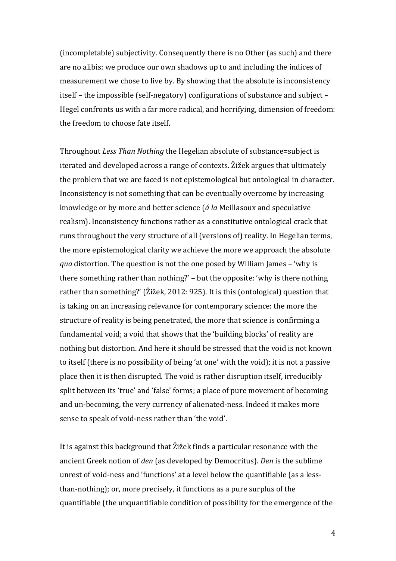(incompletable) subjectivity. Consequently there is no Other (as such) and there are no alibis: we produce our own shadows up to and including the indices of measurement we chose to live by. By showing that the absolute is inconsistency itself – the impossible (self-negatory) configurations of substance and subject – Hegel confronts us with a far more radical, and horrifying, dimension of freedom: the freedom to choose fate itself.

Throughout *Less Than Nothing* the Hegelian absolute of substance=subject is iterated and developed across a range of contexts. Žižek argues that ultimately the problem that we are faced is not epistemological but ontological in character. Inconsistency is not something that can be eventually overcome by increasing knowledge or by more and better science (*á la* Meillasoux and speculative realism). Inconsistency functions rather as a constitutive ontological crack that runs throughout the very structure of all (versions of) reality. In Hegelian terms, the more epistemological clarity we achieve the more we approach the absolute *qua* distortion. The question is not the one posed by William James – 'why is there something rather than nothing?' – but the opposite: 'why is there nothing rather than something?' (Žižek, 2012: 925). It is this (ontological) question that is taking on an increasing relevance for contemporary science: the more the structure of reality is being penetrated, the more that science is confirming a fundamental void; a void that shows that the 'building blocks' of reality are nothing but distortion. And here it should be stressed that the void is not known to itself (there is no possibility of being 'at one' with the void); it is not a passive place then it is then disrupted. The void is rather disruption itself, irreducibly split between its 'true' and 'false' forms; a place of pure movement of becoming and un-becoming, the very currency of alienated-ness. Indeed it makes more sense to speak of void-ness rather than 'the void'.

It is against this background that Žižek finds a particular resonance with the ancient Greek notion of *den* (as developed by Democritus). *Den* is the sublime unrest of void-ness and 'functions' at a level below the quantifiable (as a lessthan-nothing); or, more precisely, it functions as a pure surplus of the quantifiable (the unquantifiable condition of possibility for the emergence of the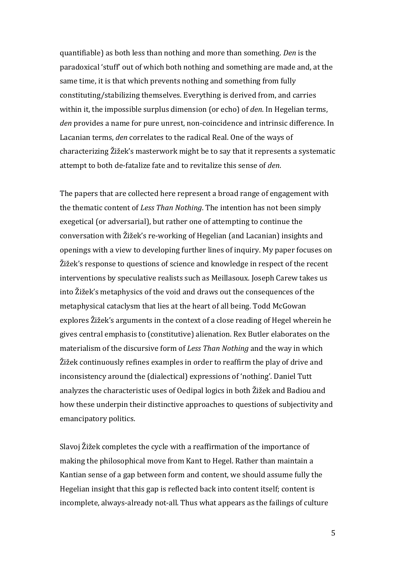quantifiable) as both less than nothing and more than something. *Den* is the paradoxical 'stuff' out of which both nothing and something are made and, at the same time, it is that which prevents nothing and something from fully constituting/stabilizing themselves. Everything is derived from, and carries within it, the impossible surplus dimension (or echo) of *den*. In Hegelian terms, *den* provides a name for pure unrest, non-coincidence and intrinsic difference. In Lacanian terms, *den* correlates to the radical Real. One of the ways of characterizing Žižek's masterwork might be to say that it represents a systematic attempt to both de-fatalize fate and to revitalize this sense of *den*.

The papers that are collected here represent a broad range of engagement with the thematic content of *Less Than Nothing*. The intention has not been simply exegetical (or adversarial), but rather one of attempting to continue the conversation with Žižek's re-working of Hegelian (and Lacanian) insights and openings with a view to developing further lines of inquiry. My paper focuses on Žižek's response to questions of science and knowledge in respect of the recent interventions by speculative realists such as Meillasoux. Joseph Carew takes us into Žižek's metaphysics of the void and draws out the consequences of the metaphysical cataclysm that lies at the heart of all being. Todd McGowan explores Žižek's arguments in the context of a close reading of Hegel wherein he gives central emphasis to (constitutive) alienation. Rex Butler elaborates on the materialism of the discursive form of *Less Than Nothing* and the way in which Žižek continuously refines examples in order to reaffirm the play of drive and inconsistency around the (dialectical) expressions of 'nothing'. Daniel Tutt analyzes the characteristic uses of Oedipal logics in both Žižek and Badiou and how these underpin their distinctive approaches to questions of subjectivity and emancipatory politics.

Slavoj Žižek completes the cycle with a reaffirmation of the importance of making the philosophical move from Kant to Hegel. Rather than maintain a Kantian sense of a gap between form and content, we should assume fully the Hegelian insight that this gap is reflected back into content itself; content is incomplete, always-already not-all. Thus what appears as the failings of culture